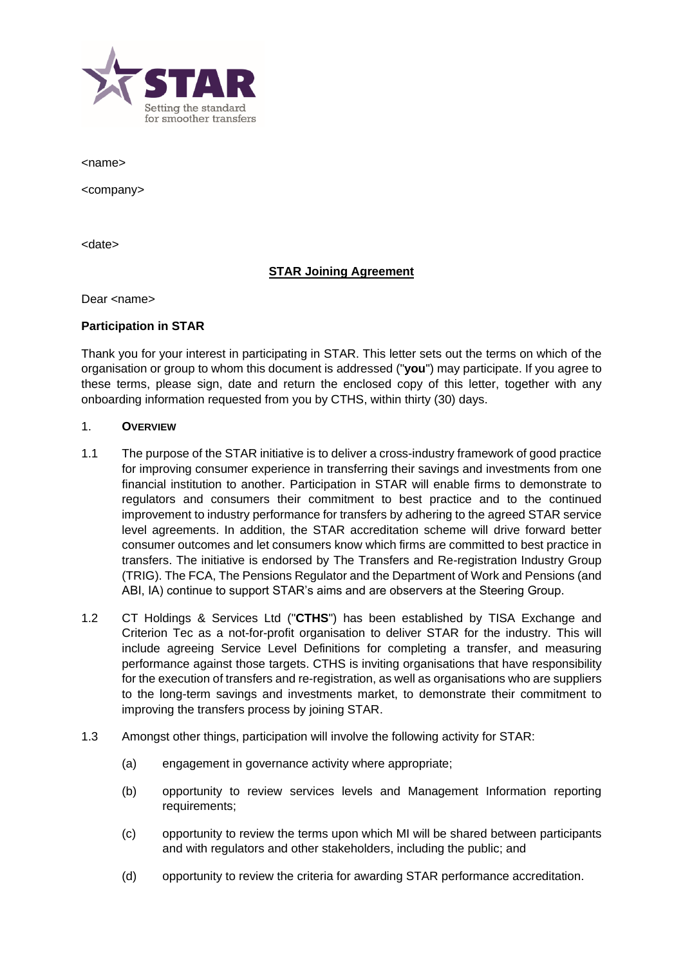

<name>

<company>

<date>

## **STAR Joining Agreement**

Dear <name>

### **Participation in STAR**

Thank you for your interest in participating in STAR. This letter sets out the terms on which of the organisation or group to whom this document is addressed ("**you**") may participate. If you agree to these terms, please sign, date and return the enclosed copy of this letter, together with any onboarding information requested from you by CTHS, within thirty (30) days.

### 1. **OVERVIEW**

- 1.1 The purpose of the STAR initiative is to deliver a cross-industry framework of good practice for improving consumer experience in transferring their savings and investments from one financial institution to another. Participation in STAR will enable firms to demonstrate to regulators and consumers their commitment to best practice and to the continued improvement to industry performance for transfers by adhering to the agreed STAR service level agreements. In addition, the STAR accreditation scheme will drive forward better consumer outcomes and let consumers know which firms are committed to best practice in transfers. The initiative is endorsed by The Transfers and Re-registration Industry Group (TRIG). The FCA, The Pensions Regulator and the Department of Work and Pensions (and ABI, IA) continue to support STAR's aims and are observers at the Steering Group.
- 1.2 CT Holdings & Services Ltd ("**CTHS**") has been established by TISA Exchange and Criterion Tec as a not-for-profit organisation to deliver STAR for the industry. This will include agreeing Service Level Definitions for completing a transfer, and measuring performance against those targets. CTHS is inviting organisations that have responsibility for the execution of transfers and re-registration, as well as organisations who are suppliers to the long-term savings and investments market, to demonstrate their commitment to improving the transfers process by joining STAR.
- 1.3 Amongst other things, participation will involve the following activity for STAR:
	- (a) engagement in governance activity where appropriate;
	- (b) opportunity to review services levels and Management Information reporting requirements;
	- (c) opportunity to review the terms upon which MI will be shared between participants and with regulators and other stakeholders, including the public; and
	- (d) opportunity to review the criteria for awarding STAR performance accreditation.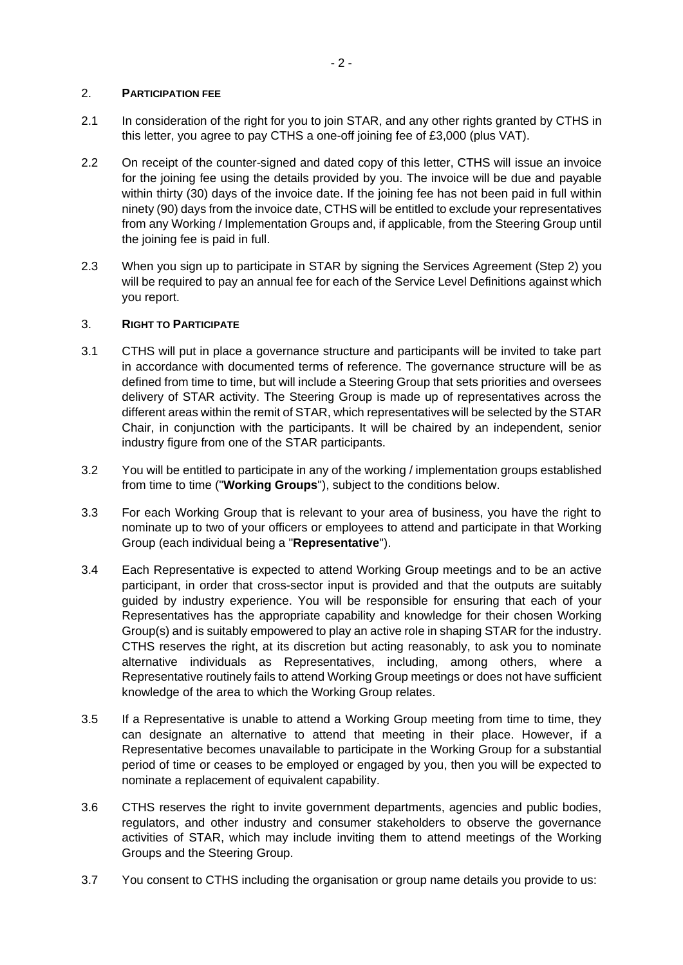## 2. **PARTICIPATION FEE**

- 2.1 In consideration of the right for you to join STAR, and any other rights granted by CTHS in this letter, you agree to pay CTHS a one-off joining fee of £3,000 (plus VAT).
- <span id="page-1-0"></span>2.2 On receipt of the counter-signed and dated copy of this letter, CTHS will issue an invoice for the joining fee using the details provided by you. The invoice will be due and payable within thirty (30) days of the invoice date. If the joining fee has not been paid in full within ninety (90) days from the invoice date, CTHS will be entitled to exclude your representatives from any Working / Implementation Groups and, if applicable, from the Steering Group until the joining fee is paid in full.
- 2.3 When you sign up to participate in STAR by signing the Services Agreement (Step 2) you will be required to pay an annual fee for each of the Service Level Definitions against which you report.

## 3. **RIGHT TO PARTICIPATE**

- 3.1 CTHS will put in place a governance structure and participants will be invited to take part in accordance with documented terms of reference. The governance structure will be as defined from time to time, but will include a Steering Group that sets priorities and oversees delivery of STAR activity. The Steering Group is made up of representatives across the different areas within the remit of STAR, which representatives will be selected by the STAR Chair, in conjunction with the participants. It will be chaired by an independent, senior industry figure from one of the STAR participants.
- 3.2 You will be entitled to participate in any of the working / implementation groups established from time to time ("**Working Groups**"), subject to the conditions below.
- 3.3 For each Working Group that is relevant to your area of business, you have the right to nominate up to two of your officers or employees to attend and participate in that Working Group (each individual being a "**Representative**").
- 3.4 Each Representative is expected to attend Working Group meetings and to be an active participant, in order that cross-sector input is provided and that the outputs are suitably guided by industry experience. You will be responsible for ensuring that each of your Representatives has the appropriate capability and knowledge for their chosen Working Group(s) and is suitably empowered to play an active role in shaping STAR for the industry. CTHS reserves the right, at its discretion but acting reasonably, to ask you to nominate alternative individuals as Representatives, including, among others, where a Representative routinely fails to attend Working Group meetings or does not have sufficient knowledge of the area to which the Working Group relates.
- 3.5 If a Representative is unable to attend a Working Group meeting from time to time, they can designate an alternative to attend that meeting in their place. However, if a Representative becomes unavailable to participate in the Working Group for a substantial period of time or ceases to be employed or engaged by you, then you will be expected to nominate a replacement of equivalent capability.
- 3.6 CTHS reserves the right to invite government departments, agencies and public bodies, regulators, and other industry and consumer stakeholders to observe the governance activities of STAR, which may include inviting them to attend meetings of the Working Groups and the Steering Group.
- 3.7 You consent to CTHS including the organisation or group name details you provide to us: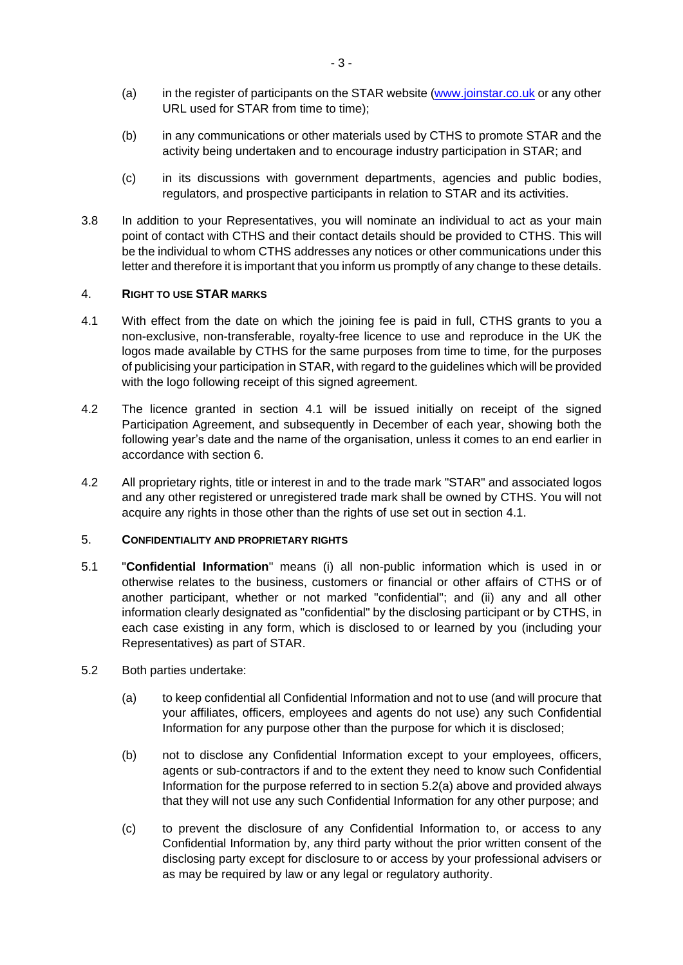- (a) in the register of participants on the STAR website [\(www.joinstar.co.uk](http://www.joinstar.co.uk/) or any other URL used for STAR from time to time);
- (b) in any communications or other materials used by CTHS to promote STAR and the activity being undertaken and to encourage industry participation in STAR; and
- (c) in its discussions with government departments, agencies and public bodies, regulators, and prospective participants in relation to STAR and its activities.
- 3.8 In addition to your Representatives, you will nominate an individual to act as your main point of contact with CTHS and their contact details should be provided to CTHS. This will be the individual to whom CTHS addresses any notices or other communications under this letter and therefore it is important that you inform us promptly of any change to these details.

### 4. **RIGHT TO USE STAR MARKS**

- <span id="page-2-0"></span>4.1 With effect from the date on which the joining fee is paid in full, CTHS grants to you a non-exclusive, non-transferable, royalty-free licence to use and reproduce in the UK the logos made available by CTHS for the same purposes from time to time, for the purposes of publicising your participation in STAR, with regard to the guidelines which will be provided with the logo following receipt of this signed agreement.
- 4.2 The licence granted in section [4.1](#page-2-0) will be issued initially on receipt of the signed Participation Agreement, and subsequently in December of each year, showing both the following year's date and the name of the organisation, unless it comes to an end earlier in accordance with section [6.](#page-3-0)
- 4.2 All proprietary rights, title or interest in and to the trade mark "STAR" and associated logos and any other registered or unregistered trade mark shall be owned by CTHS. You will not acquire any rights in those other than the rights of use set out in section [4.1.](#page-2-0)

### 5. **CONFIDENTIALITY AND PROPRIETARY RIGHTS**

- 5.1 "**Confidential Information**" means (i) all non-public information which is used in or otherwise relates to the business, customers or financial or other affairs of CTHS or of another participant, whether or not marked "confidential"; and (ii) any and all other information clearly designated as "confidential" by the disclosing participant or by CTHS, in each case existing in any form, which is disclosed to or learned by you (including your Representatives) as part of STAR.
- <span id="page-2-2"></span><span id="page-2-1"></span>5.2 Both parties undertake:
	- (a) to keep confidential all Confidential Information and not to use (and will procure that your affiliates, officers, employees and agents do not use) any such Confidential Information for any purpose other than the purpose for which it is disclosed;
	- (b) not to disclose any Confidential Information except to your employees, officers, agents or sub-contractors if and to the extent they need to know such Confidential Information for the purpose referred to in sectio[n 5.2](#page-2-1)[\(a\)](#page-2-2) above and provided always that they will not use any such Confidential Information for any other purpose; and
	- (c) to prevent the disclosure of any Confidential Information to, or access to any Confidential Information by, any third party without the prior written consent of the disclosing party except for disclosure to or access by your professional advisers or as may be required by law or any legal or regulatory authority.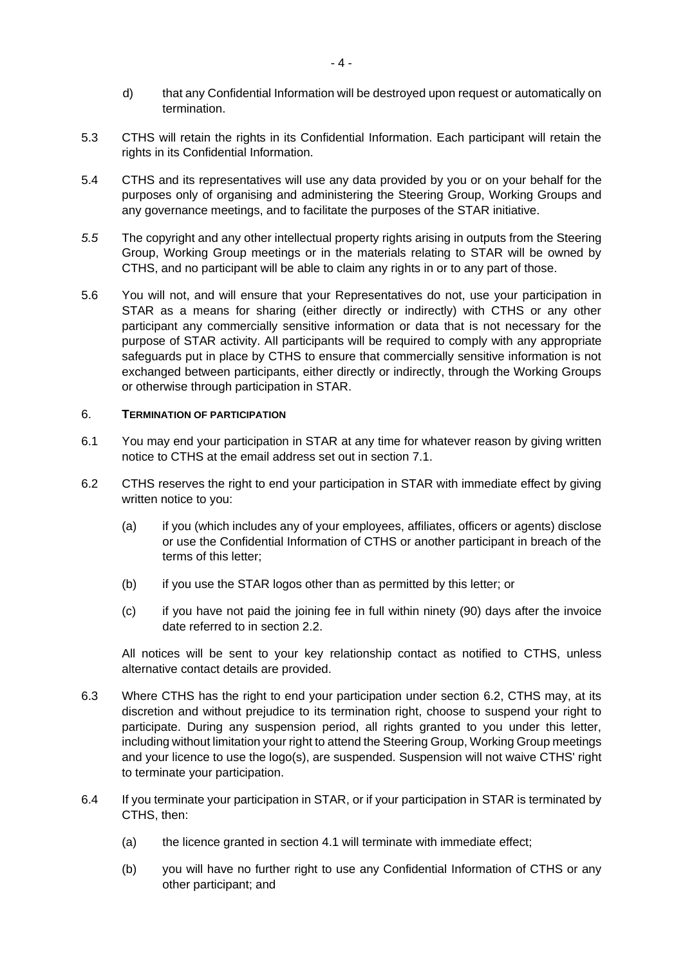- d) that any Confidential Information will be destroyed upon request or automatically on termination.
- 5.3 CTHS will retain the rights in its Confidential Information. Each participant will retain the rights in its Confidential Information.
- 5.4 CTHS and its representatives will use any data provided by you or on your behalf for the purposes only of organising and administering the Steering Group, Working Groups and any governance meetings, and to facilitate the purposes of the STAR initiative.
- *5.5* The copyright and any other intellectual property rights arising in outputs from the Steering Group, Working Group meetings or in the materials relating to STAR will be owned by CTHS, and no participant will be able to claim any rights in or to any part of those.
- 5.6 You will not, and will ensure that your Representatives do not, use your participation in STAR as a means for sharing (either directly or indirectly) with CTHS or any other participant any commercially sensitive information or data that is not necessary for the purpose of STAR activity. All participants will be required to comply with any appropriate safeguards put in place by CTHS to ensure that commercially sensitive information is not exchanged between participants, either directly or indirectly, through the Working Groups or otherwise through participation in STAR.

### <span id="page-3-0"></span>6. **TERMINATION OF PARTICIPATION**

- 6.1 You may end your participation in STAR at any time for whatever reason by giving written notice to CTHS at the email address set out in section [7.1.](#page-4-0)
- <span id="page-3-1"></span>6.2 CTHS reserves the right to end your participation in STAR with immediate effect by giving written notice to you:
	- (a) if you (which includes any of your employees, affiliates, officers or agents) disclose or use the Confidential Information of CTHS or another participant in breach of the terms of this letter;
	- (b) if you use the STAR logos other than as permitted by this letter; or
	- (c) if you have not paid the joining fee in full within ninety (90) days after the invoice date referred to in section [2.2.](#page-1-0)

All notices will be sent to your key relationship contact as notified to CTHS, unless alternative contact details are provided.

- 6.3 Where CTHS has the right to end your participation under section [6.2,](#page-3-1) CTHS may, at its discretion and without prejudice to its termination right, choose to suspend your right to participate. During any suspension period, all rights granted to you under this letter, including without limitation your right to attend the Steering Group, Working Group meetings and your licence to use the logo(s), are suspended. Suspension will not waive CTHS' right to terminate your participation.
- 6.4 If you terminate your participation in STAR, or if your participation in STAR is terminated by CTHS, then:
	- (a) the licence granted in section [4.1](#page-2-0) will terminate with immediate effect;
	- (b) you will have no further right to use any Confidential Information of CTHS or any other participant; and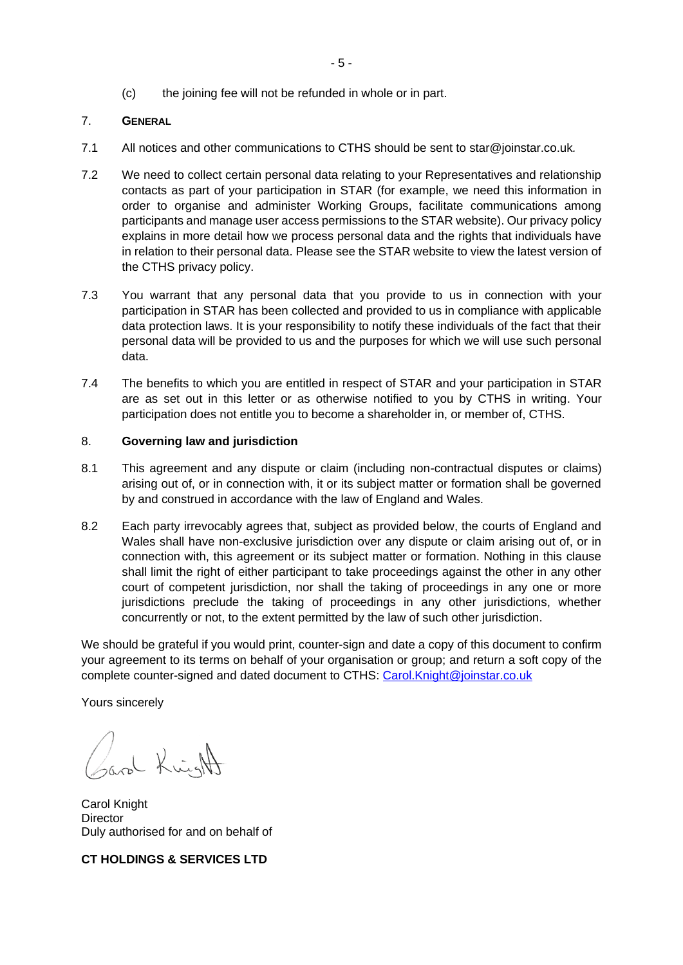(c) the joining fee will not be refunded in whole or in part.

## 7. **GENERAL**

- <span id="page-4-0"></span>7.1 All notices and other communications to CTHS should be sent to star@joinstar.co.uk*.*
- 7.2 We need to collect certain personal data relating to your Representatives and relationship contacts as part of your participation in STAR (for example, we need this information in order to organise and administer Working Groups, facilitate communications among participants and manage user access permissions to the STAR website). Our privacy policy explains in more detail how we process personal data and the rights that individuals have in relation to their personal data. Please see the STAR website to view the latest version of the CTHS privacy policy.
- 7.3 You warrant that any personal data that you provide to us in connection with your participation in STAR has been collected and provided to us in compliance with applicable data protection laws. It is your responsibility to notify these individuals of the fact that their personal data will be provided to us and the purposes for which we will use such personal data.
- 7.4 The benefits to which you are entitled in respect of STAR and your participation in STAR are as set out in this letter or as otherwise notified to you by CTHS in writing. Your participation does not entitle you to become a shareholder in, or member of, CTHS.

#### 8. **Governing law and jurisdiction**

- 8.1 This agreement and any dispute or claim (including non-contractual disputes or claims) arising out of, or in connection with, it or its subject matter or formation shall be governed by and construed in accordance with the law of England and Wales.
- 8.2 Each party irrevocably agrees that, subject as provided below, the courts of England and Wales shall have non-exclusive jurisdiction over any dispute or claim arising out of, or in connection with, this agreement or its subject matter or formation. Nothing in this clause shall limit the right of either participant to take proceedings against the other in any other court of competent jurisdiction, nor shall the taking of proceedings in any one or more jurisdictions preclude the taking of proceedings in any other jurisdictions, whether concurrently or not, to the extent permitted by the law of such other jurisdiction.

We should be grateful if you would print, counter-sign and date a copy of this document to confirm your agreement to its terms on behalf of your organisation or group; and return a soft copy of the complete counter-signed and dated document to CTHS: [Carol.Knight@joinstar.co.uk](mailto:Carol.Knight@joinstar.co.uk)

Yours sincerely

and Kwight

Carol Knight **Director** Duly authorised for and on behalf of

**CT HOLDINGS & SERVICES LTD**